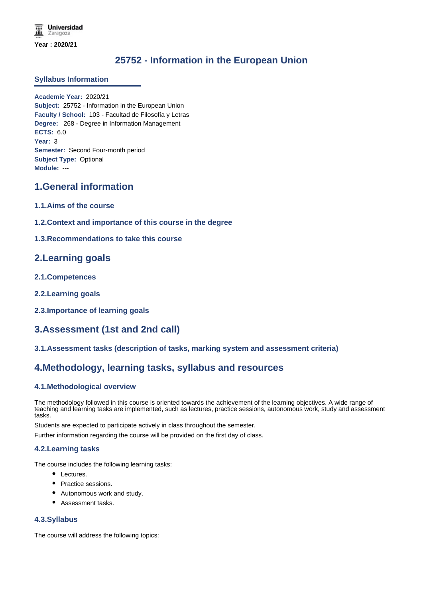# **25752 - Information in the European Union**

### **Syllabus Information**

**Academic Year:** 2020/21 **Subject:** 25752 - Information in the European Union **Faculty / School:** 103 - Facultad de Filosofía y Letras **Degree:** 268 - Degree in Information Management **ECTS:** 6.0 **Year:** 3 **Semester:** Second Four-month period **Subject Type:** Optional **Module:** ---

## **1.General information**

- **1.1.Aims of the course**
- **1.2.Context and importance of this course in the degree**
- **1.3.Recommendations to take this course**

## **2.Learning goals**

- **2.1.Competences**
- **2.2.Learning goals**
- **2.3.Importance of learning goals**

# **3.Assessment (1st and 2nd call)**

**3.1.Assessment tasks (description of tasks, marking system and assessment criteria)**

## **4.Methodology, learning tasks, syllabus and resources**

### **4.1.Methodological overview**

The methodology followed in this course is oriented towards the achievement of the learning objectives. A wide range of teaching and learning tasks are implemented, such as lectures, practice sessions, autonomous work, study and assessment tasks.

Students are expected to participate actively in class throughout the semester.

Further information regarding the course will be provided on the first day of class.

### **4.2.Learning tasks**

The course includes the following learning tasks:

- Lectures.
- Practice sessions.
- Autonomous work and study.
- Assessment tasks.

### **4.3.Syllabus**

The course will address the following topics: